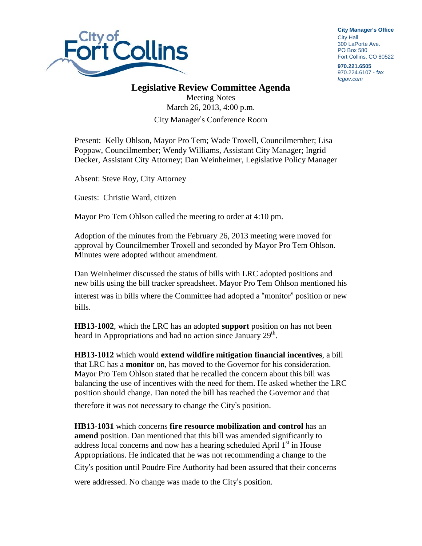

**City Manager**'**s Office** City Hall 300 LaPorte Ave. PO Box 580 Fort Collins, CO 80522

**970.221.6505** 970.224.6107 - fax *fcgov.com*

## **Legislative Review Committee Agenda**

Meeting Notes March 26, 2013, 4:00 p.m. City Manager's Conference Room

Present: Kelly Ohlson, Mayor Pro Tem; Wade Troxell, Councilmember; Lisa Poppaw, Councilmember; Wendy Williams, Assistant City Manager; Ingrid Decker, Assistant City Attorney; Dan Weinheimer, Legislative Policy Manager

Absent: Steve Roy, City Attorney

Guests: Christie Ward, citizen

Mayor Pro Tem Ohlson called the meeting to order at 4:10 pm.

Adoption of the minutes from the February 26, 2013 meeting were moved for approval by Councilmember Troxell and seconded by Mayor Pro Tem Ohlson. Minutes were adopted without amendment.

Dan Weinheimer discussed the status of bills with LRC adopted positions and new bills using the bill tracker spreadsheet. Mayor Pro Tem Ohlson mentioned his

interest was in bills where the Committee had adopted a "monitor" position or new bills.

**HB13-1002**, which the LRC has an adopted **support** position on has not been heard in Appropriations and had no action since January 29<sup>th</sup>.

**HB13-1012** which would **extend wildfire mitigation financial incentives**, a bill that LRC has a **monitor** on, has moved to the Governor for his consideration. Mayor Pro Tem Ohlson stated that he recalled the concern about this bill was balancing the use of incentives with the need for them. He asked whether the LRC position should change. Dan noted the bill has reached the Governor and that

therefore it was not necessary to change the City's position.

**HB13-1031** which concerns **fire resource mobilization and control** has an **amend** position. Dan mentioned that this bill was amended significantly to address local concerns and now has a hearing scheduled April  $1<sup>st</sup>$  in House Appropriations. He indicated that he was not recommending a change to the City's position until Poudre Fire Authority had been assured that their concerns

were addressed. No change was made to the City's position.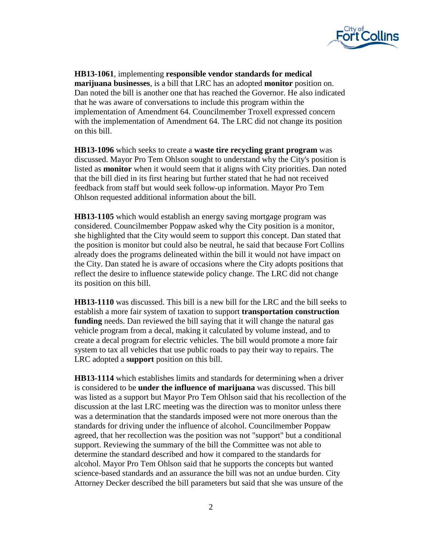

**HB13-1061**, implementing **responsible vendor standards for medical marijuana businesses**, is a bill that LRC has an adopted **monitor** position on. Dan noted the bill is another one that has reached the Governor. He also indicated that he was aware of conversations to include this program within the implementation of Amendment 64. Councilmember Troxell expressed concern with the implementation of Amendment 64. The LRC did not change its position on this bill.

**HB13-1096** which seeks to create a **waste tire recycling grant program** was discussed. Mayor Pro Tem Ohlson sought to understand why the City's position is listed as **monitor** when it would seem that it aligns with City priorities. Dan noted that the bill died in its first hearing but further stated that he had not received feedback from staff but would seek follow-up information. Mayor Pro Tem Ohlson requested additional information about the bill.

**HB13-1105** which would establish an energy saving mortgage program was considered. Councilmember Poppaw asked why the City position is a monitor, she highlighted that the City would seem to support this concept. Dan stated that the position is monitor but could also be neutral, he said that because Fort Collins already does the programs delineated within the bill it would not have impact on the City. Dan stated he is aware of occasions where the City adopts positions that reflect the desire to influence statewide policy change. The LRC did not change its position on this bill.

**HB13-1110** was discussed. This bill is a new bill for the LRC and the bill seeks to establish a more fair system of taxation to support **transportation construction funding** needs. Dan reviewed the bill saying that it will change the natural gas vehicle program from a decal, making it calculated by volume instead, and to create a decal program for electric vehicles. The bill would promote a more fair system to tax all vehicles that use public roads to pay their way to repairs. The LRC adopted a **support** position on this bill.

**HB13-1114** which establishes limits and standards for determining when a driver is considered to be **under the influence of marijuana** was discussed. This bill was listed as a support but Mayor Pro Tem Ohlson said that his recollection of the discussion at the last LRC meeting was the direction was to monitor unless there was a determination that the standards imposed were not more onerous than the standards for driving under the influence of alcohol. Councilmember Poppaw agreed, that her recollection was the position was not "support" but a conditional support. Reviewing the summary of the bill the Committee was not able to determine the standard described and how it compared to the standards for alcohol. Mayor Pro Tem Ohlson said that he supports the concepts but wanted science-based standards and an assurance the bill was not an undue burden. City Attorney Decker described the bill parameters but said that she was unsure of the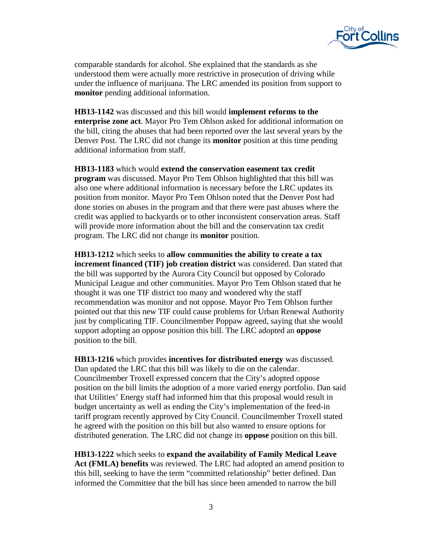

comparable standards for alcohol. She explained that the standards as she understood them were actually more restrictive in prosecution of driving while under the influence of marijuana. The LRC amended its position from support to **monitor** pending additional information.

**HB13-1142** was discussed and this bill would **implement reforms to the enterprise zone act**. Mayor Pro Tem Ohlson asked for additional information on the bill, citing the abuses that had been reported over the last several years by the Denver Post. The LRC did not change its **monitor** position at this time pending additional information from staff.

**HB13-1183** which would **extend the conservation easement tax credit program** was discussed. Mayor Pro Tem Ohlson highlighted that this bill was also one where additional information is necessary before the LRC updates its position from monitor. Mayor Pro Tem Ohlson noted that the Denver Post had done stories on abuses in the program and that there were past abuses where the credit was applied to backyards or to other inconsistent conservation areas. Staff will provide more information about the bill and the conservation tax credit program. The LRC did not change its **monitor** position.

**HB13-1212** which seeks to **allow communities the ability to create a tax increment financed (TIF) job creation district** was considered. Dan stated that the bill was supported by the Aurora City Council but opposed by Colorado Municipal League and other communities. Mayor Pro Tem Ohlson stated that he thought it was one TIF district too many and wondered why the staff recommendation was monitor and not oppose. Mayor Pro Tem Ohlson further pointed out that this new TIF could cause problems for Urban Renewal Authority just by complicating TIF. Councilmember Poppaw agreed, saying that she would support adopting an oppose position this bill. The LRC adopted an **oppose**  position to the bill.

**HB13-1216** which provides **incentives for distributed energy** was discussed. Dan updated the LRC that this bill was likely to die on the calendar. Councilmember Troxell expressed concern that the City's adopted oppose position on the bill limits the adoption of a more varied energy portfolio. Dan said that Utilities' Energy staff had informed him that this proposal would result in budget uncertainty as well as ending the City's implementation of the feed-in tariff program recently approved by City Council. Councilmember Troxell stated he agreed with the position on this bill but also wanted to ensure options for distributed generation. The LRC did not change its **oppose** position on this bill.

**HB13-1222** which seeks to **expand the availability of Family Medical Leave Act (FMLA) benefits** was reviewed. The LRC had adopted an amend position to this bill, seeking to have the term "committed relationship" better defined. Dan informed the Committee that the bill has since been amended to narrow the bill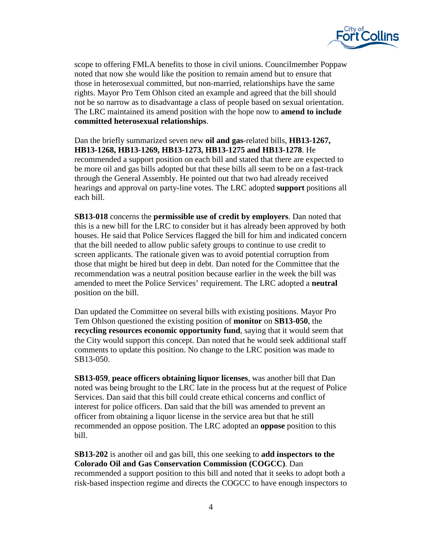

scope to offering FMLA benefits to those in civil unions. Councilmember Poppaw noted that now she would like the position to remain amend but to ensure that those in heterosexual committed, but non-married, relationships have the same rights. Mayor Pro Tem Ohlson cited an example and agreed that the bill should not be so narrow as to disadvantage a class of people based on sexual orientation. The LRC maintained its amend position with the hope now to **amend to include committed heterosexual relationships**.

Dan the briefly summarized seven new **oil and gas**-related bills, **HB13-1267, HB13-1268, HB13-1269, HB13-1273, HB13-1275 and HB13-1278**. He recommended a support position on each bill and stated that there are expected to be more oil and gas bills adopted but that these bills all seem to be on a fast-track through the General Assembly. He pointed out that two had already received hearings and approval on party-line votes. The LRC adopted **support** positions all each bill.

**SB13-018** concerns the **permissible use of credit by employers**. Dan noted that this is a new bill for the LRC to consider but it has already been approved by both houses. He said that Police Services flagged the bill for him and indicated concern that the bill needed to allow public safety groups to continue to use credit to screen applicants. The rationale given was to avoid potential corruption from those that might be hired but deep in debt. Dan noted for the Committee that the recommendation was a neutral position because earlier in the week the bill was amended to meet the Police Services' requirement. The LRC adopted a **neutral** position on the bill.

Dan updated the Committee on several bills with existing positions. Mayor Pro Tem Ohlson questioned the existing position of **monitor** on **SB13-050**, the **recycling resources economic opportunity fund**, saying that it would seem that the City would support this concept. Dan noted that he would seek additional staff comments to update this position. No change to the LRC position was made to SB13-050.

**SB13-059**, **peace officers obtaining liquor licenses**, was another bill that Dan noted was being brought to the LRC late in the process but at the request of Police Services. Dan said that this bill could create ethical concerns and conflict of interest for police officers. Dan said that the bill was amended to prevent an officer from obtaining a liquor license in the service area but that he still recommended an oppose position. The LRC adopted an **oppose** position to this bill.

**SB13-202** is another oil and gas bill, this one seeking to **add inspectors to the Colorado Oil and Gas Conservation Commission (COGCC)**. Dan recommended a support position to this bill and noted that it seeks to adopt both a risk-based inspection regime and directs the COGCC to have enough inspectors to